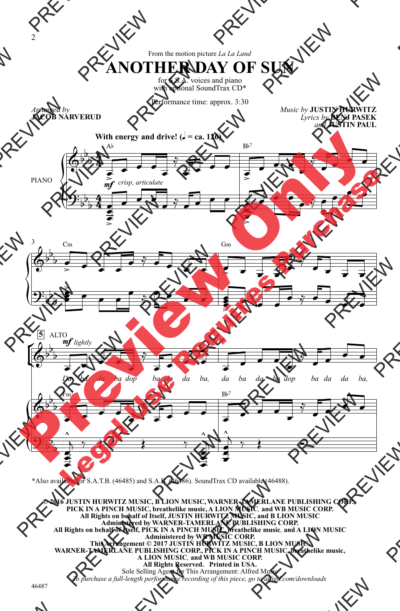From the motion picture *La La Land* **ANOTHER DAY OF SUN**

> for S.S.A. voices and piano with optional SoundTrax CD\*

Performance time: approx. 3:30

*Arranged by* **JACOB NARVERUD** *Music by* **JUSTIN HURWITZ** *Lyrics by* **BENJ PASEK** *and* **JUSTIN PAUL**



*To purchase a full-length performance recording of this piece, go to alfred.com/downloads*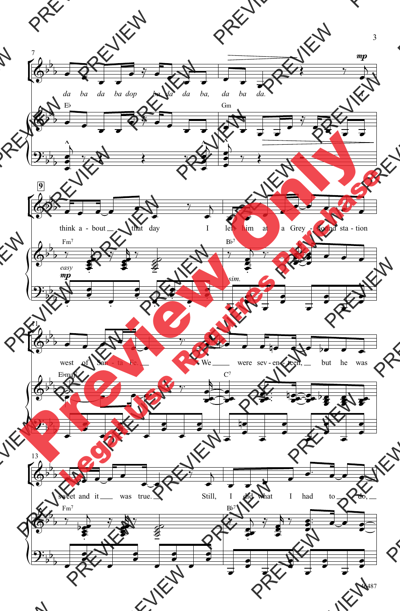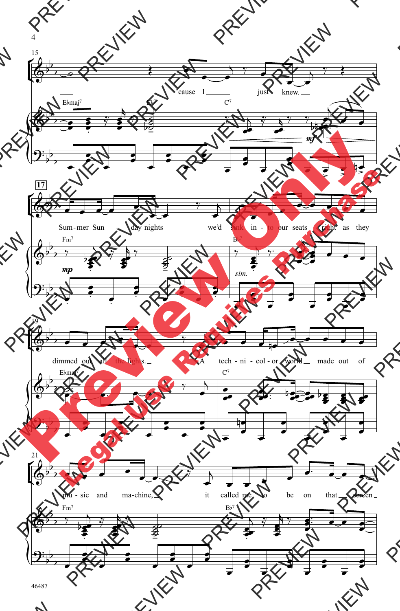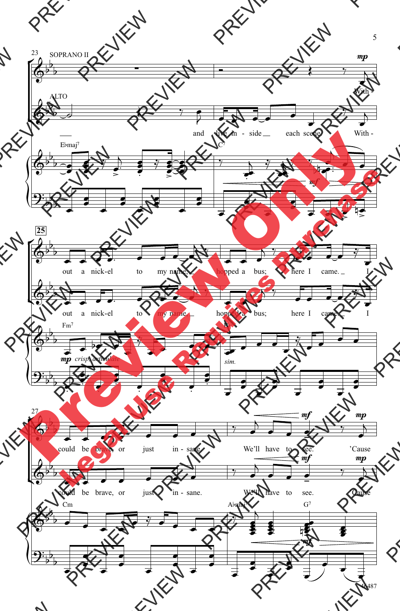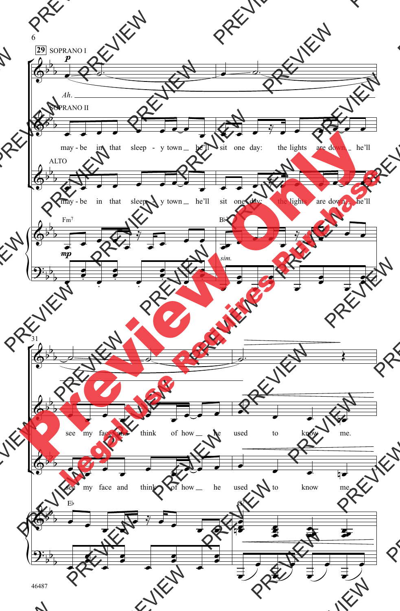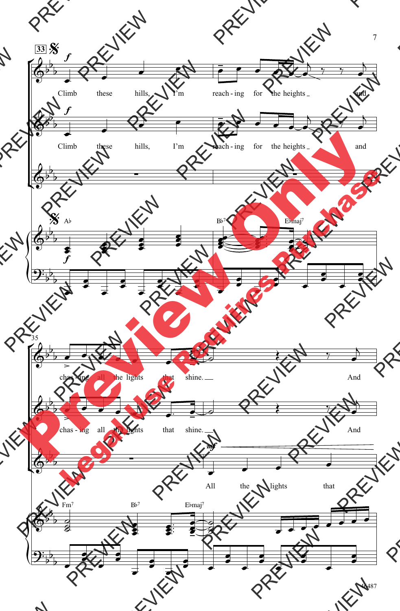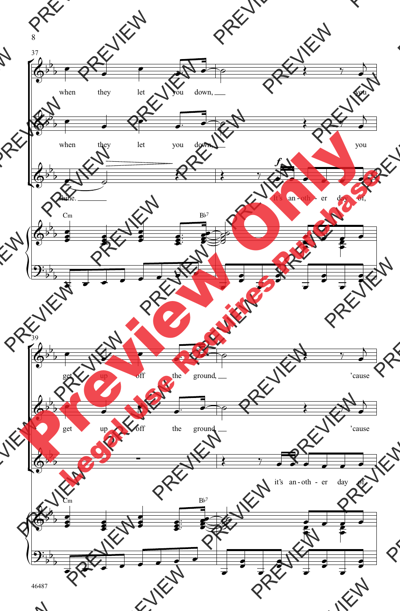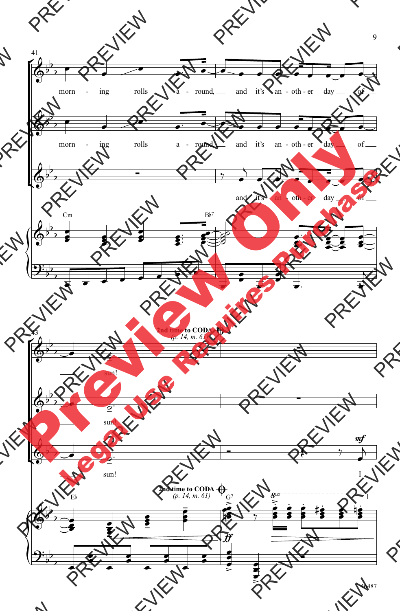

46487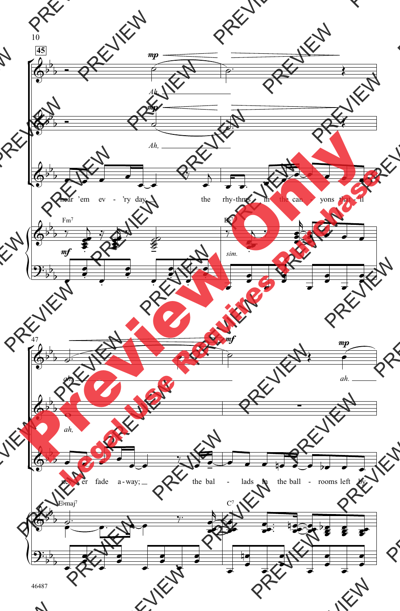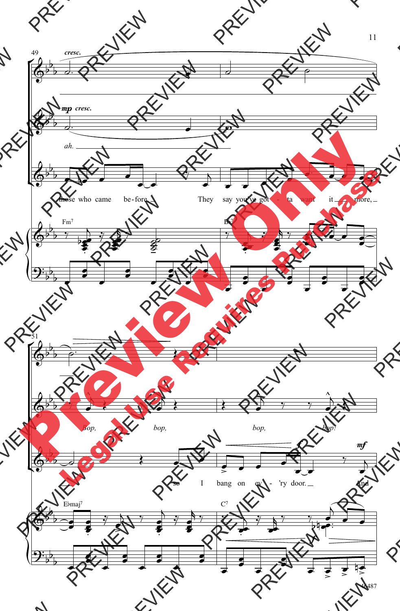

11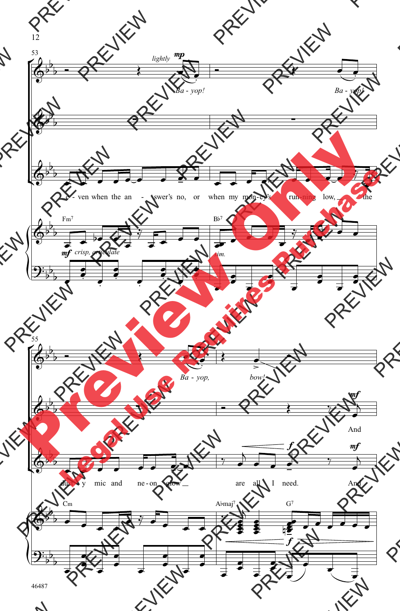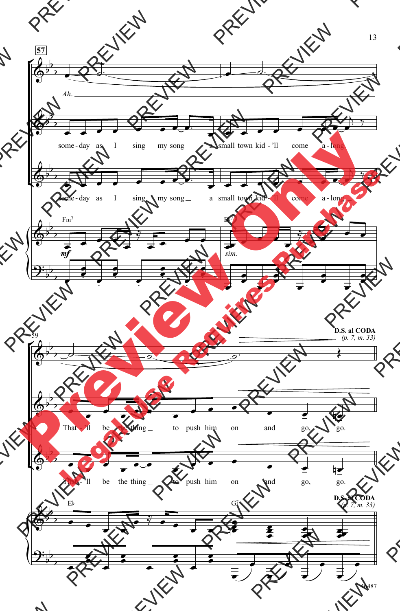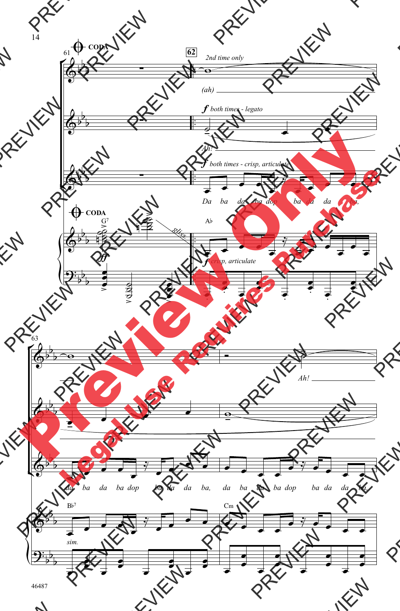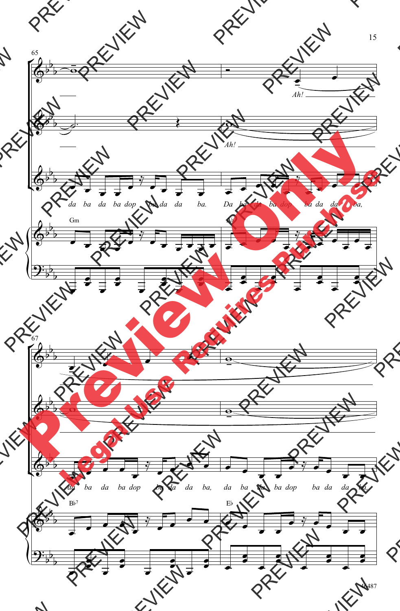

46487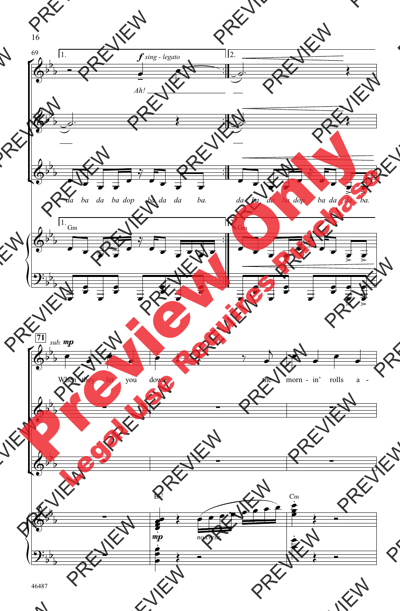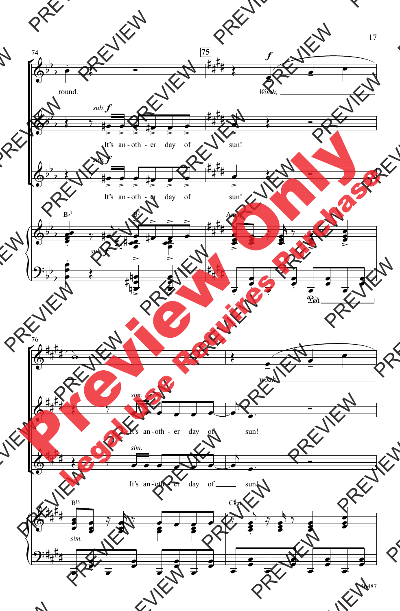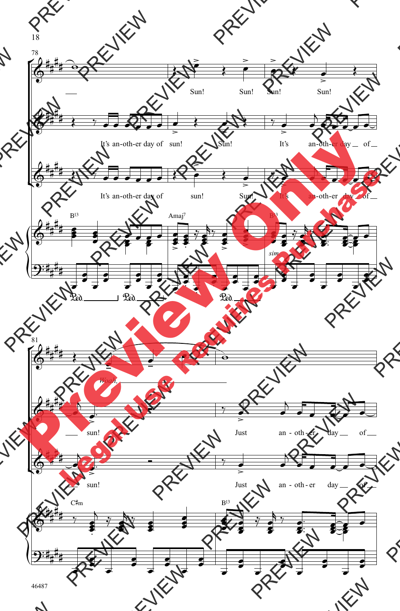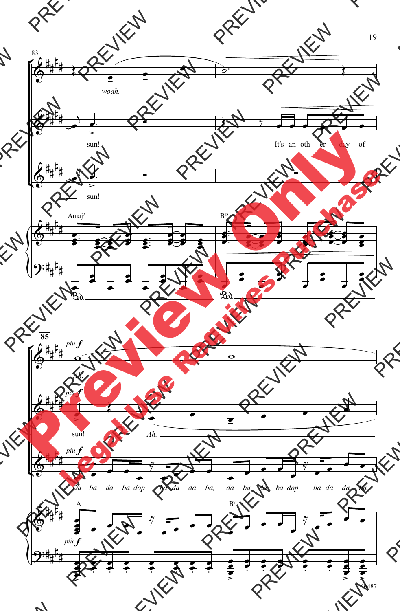